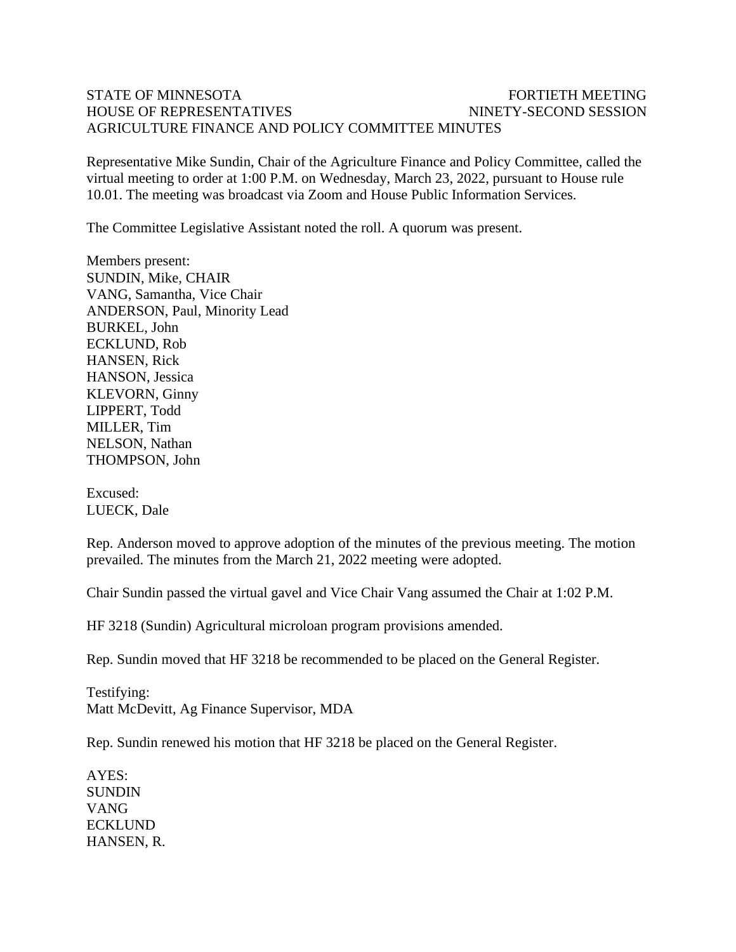## STATE OF MINNESOTA FOR THE TRANSPORTED FOR THE MEETING HOUSE OF REPRESENTATIVES NINETY-SECOND SESSION AGRICULTURE FINANCE AND POLICY COMMITTEE MINUTES

Representative Mike Sundin, Chair of the Agriculture Finance and Policy Committee, called the virtual meeting to order at 1:00 P.M. on Wednesday, March 23, 2022, pursuant to House rule 10.01. The meeting was broadcast via Zoom and House Public Information Services.

The Committee Legislative Assistant noted the roll. A quorum was present.

Members present: SUNDIN, Mike, CHAIR VANG, Samantha, Vice Chair ANDERSON, Paul, Minority Lead BURKEL, John ECKLUND, Rob HANSEN, Rick HANSON, Jessica KLEVORN, Ginny LIPPERT, Todd MILLER, Tim NELSON, Nathan THOMPSON, John

Excused: LUECK, Dale

Rep. Anderson moved to approve adoption of the minutes of the previous meeting. The motion prevailed. The minutes from the March 21, 2022 meeting were adopted.

Chair Sundin passed the virtual gavel and Vice Chair Vang assumed the Chair at 1:02 P.M.

HF 3218 (Sundin) Agricultural microloan program provisions amended.

Rep. Sundin moved that HF 3218 be recommended to be placed on the General Register.

Testifying: Matt McDevitt, Ag Finance Supervisor, MDA

Rep. Sundin renewed his motion that HF 3218 be placed on the General Register.

AYES: **SUNDIN** VANG ECKLUND HANSEN, R.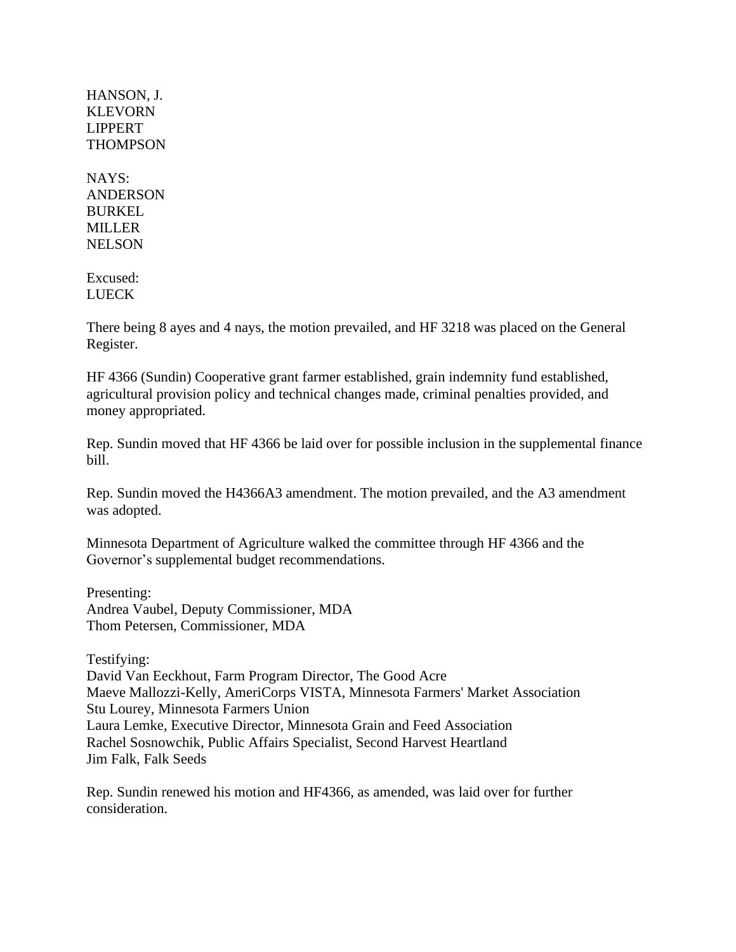HANSON, J. **KLEVORN** LIPPERT **THOMPSON** 

NAYS: **ANDERSON** BURKEL MILLER **NELSON** 

Excused: LUECK

There being 8 ayes and 4 nays, the motion prevailed, and HF 3218 was placed on the General Register.

HF 4366 (Sundin) Cooperative grant farmer established, grain indemnity fund established, agricultural provision policy and technical changes made, criminal penalties provided, and money appropriated.

Rep. Sundin moved that HF 4366 be laid over for possible inclusion in the supplemental finance bill.

Rep. Sundin moved the H4366A3 amendment. The motion prevailed, and the A3 amendment was adopted.

Minnesota Department of Agriculture walked the committee through HF 4366 and the Governor's supplemental budget recommendations.

Presenting: Andrea Vaubel, Deputy Commissioner, MDA Thom Petersen, Commissioner, MDA

Testifying:

David Van Eeckhout, Farm Program Director, The Good Acre Maeve Mallozzi-Kelly, AmeriCorps VISTA, Minnesota Farmers' Market Association Stu Lourey, Minnesota Farmers Union Laura Lemke, Executive Director, Minnesota Grain and Feed Association Rachel Sosnowchik, Public Affairs Specialist, Second Harvest Heartland Jim Falk, Falk Seeds

Rep. Sundin renewed his motion and HF4366, as amended, was laid over for further consideration.